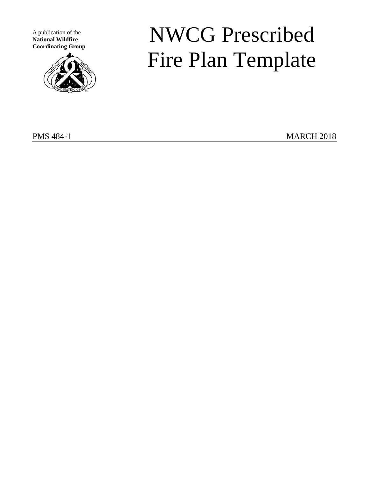A publication of the **National Wildfire Coordinating Group**



# NWCG Prescribed Fire Plan Template

PMS 484-1 MARCH 2018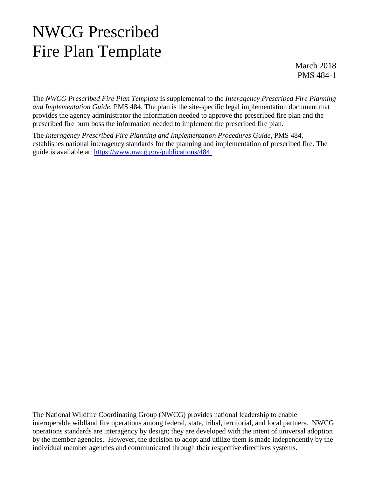## NWCG Prescribed Fire Plan Template

March 2018 PMS 484-1

The *NWCG Prescribed Fire Plan Template* is supplemental to the *Interagency Prescribed Fire Planning and Implementation Guide*, PMS 484. The plan is the site-specific legal implementation document that provides the agency administrator the information needed to approve the prescribed fire plan and the prescribed fire burn boss the information needed to implement the prescribed fire plan.

The *Interagency Prescribed Fire Planning and Implementation Procedures Guide*, PMS 484, establishes national interagency standards for the planning and implementation of prescribed fire. The guide is available at: [https://www.nwcg.gov/publications/484.](https://www.nwcg.gov/publications/484)

The National Wildfire Coordinating Group (NWCG) provides national leadership to enable interoperable wildland fire operations among federal, state, tribal, territorial, and local partners. NWCG operations standards are interagency by design; they are developed with the intent of universal adoption by the member agencies. However, the decision to adopt and utilize them is made independently by the individual member agencies and communicated through their respective directives systems.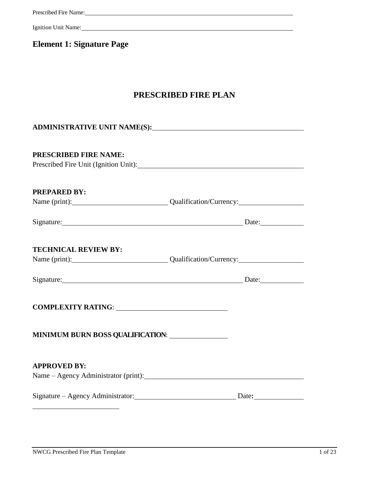### **Element 1: Signature Page**

### **PRESCRIBED FIRE PLAN**

| <b>PRESCRIBED FIRE NAME:</b><br>Prescribed Fire Unit (Ignition Unit): |  |
|-----------------------------------------------------------------------|--|
| <b>PREPARED BY:</b>                                                   |  |
| Name (print): Qualification/Currency:                                 |  |
| Signature: Date: Date:                                                |  |
| <b>TECHNICAL REVIEW BY:</b>                                           |  |
| Name (print): Qualification/Currency:                                 |  |
| Signature: Date: Date:                                                |  |
|                                                                       |  |
| <b>MINIMUM BURN BOSS QUALIFICATION:</b>                               |  |
| <b>APPROVED BY:</b><br>Name – Agency Administrator (print):           |  |
|                                                                       |  |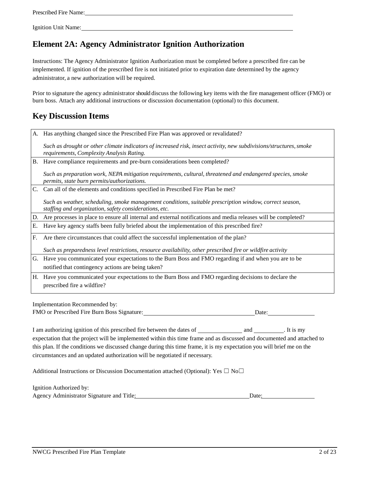### **Element 2A: Agency Administrator Ignition Authorization**

Instructions: The Agency Administrator Ignition Authorization must be completed before a prescribed fire can be implemented. If ignition of the prescribed fire is not initiated prior to expiration date determined by the agency administrator, a new authorization will be required.

Prior to signature the agency administrator should discuss the following key items with the fire management officer (FMO) or burn boss. Attach any additional instructions or discussion documentation (optional) to this document.

### **Key Discussion Items**

| A. | Has anything changed since the Prescribed Fire Plan was approved or revalidated?                                                                                  |  |
|----|-------------------------------------------------------------------------------------------------------------------------------------------------------------------|--|
|    | Such as drought or other climate indicators of increased risk, insect activity, new subdivisions/structures, smoke<br>requirements, Complexity Analysis Rating.   |  |
|    | B. Have compliance requirements and pre-burn considerations been completed?                                                                                       |  |
|    | Such as preparation work, NEPA mitigation requirements, cultural, threatened and endangered species, smoke<br>permits, state burn permits/authorizations.         |  |
| C. | Can all of the elements and conditions specified in Prescribed Fire Plan be met?                                                                                  |  |
|    | Such as weather, scheduling, smoke management conditions, suitable prescription window, correct season,<br>staffing and organization, safety considerations, etc. |  |
|    | D. Are processes in place to ensure all internal and external notifications and media releases will be completed?                                                 |  |
| Е. | Have key agency staffs been fully briefed about the implementation of this prescribed fire?                                                                       |  |
| F. | Are there circumstances that could affect the successful implementation of the plan?                                                                              |  |
|    | Such as preparedness level restrictions, resource availability, other prescribed fire or wildfire activity                                                        |  |
|    | G. Have you communicated your expectations to the Burn Boss and FMO regarding if and when you are to be<br>notified that contingency actions are being taken?     |  |
|    | H. Have you communicated your expectations to the Burn Boss and FMO regarding decisions to declare the<br>prescribed fire a wildfire?                             |  |
|    |                                                                                                                                                                   |  |
|    | Implementation Recommended by:                                                                                                                                    |  |
|    | FMO or Prescribed Fire Burn Boss Signature:<br>Date:                                                                                                              |  |

I am authorizing ignition of this prescribed fire between the dates of and . It is my expectation that the project will be implemented within this time frame and as discussed and documented and attached to this plan. If the conditions we discussed change during this time frame, it is my expectation you will brief me on the circumstances and an updated authorization will be negotiated if necessary.

Additional Instructions or Discussion Documentation attached (Optional): Yes  $\Box$  No $\Box$ 

Ignition Authorized by: Agency Administrator Signature and Title: Date: Date: Date: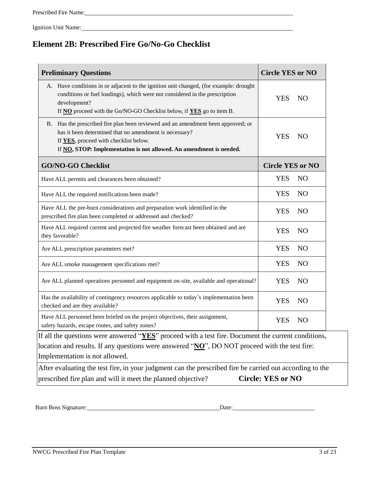### **Element 2B: Prescribed Fire Go/No-Go Checklist**

| <b>Preliminary Questions</b>                                                                                                                                                                                                                                  | <b>Circle YES or NO</b>       |  |
|---------------------------------------------------------------------------------------------------------------------------------------------------------------------------------------------------------------------------------------------------------------|-------------------------------|--|
| A. Have conditions in or adjacent to the ignition unit changed, (for example: drought<br>conditions or fuel loadings), which were not considered in the prescription<br>development?<br>If NO proceed with the Go/NO-GO Checklist below, if YES go to item B. | <b>YES</b><br>NO <sub>1</sub> |  |
| B. Has the prescribed fire plan been reviewed and an amendment been approved; or<br>has it been determined that no amendment is necessary?<br>If YES, proceed with checklist below.<br>If NO, STOP: Implementation is not allowed. An amendment is needed.    | <b>YES</b><br>NO              |  |
| <b>GO/NO-GO Checklist</b>                                                                                                                                                                                                                                     | <b>Circle YES or NO</b>       |  |
| Have ALL permits and clearances been obtained?                                                                                                                                                                                                                | <b>YES</b><br>N <sub>O</sub>  |  |
| Have ALL the required notifications been made?                                                                                                                                                                                                                | <b>YES</b><br>N <sub>O</sub>  |  |
| Have ALL the pre-burn considerations and preparation work identified in the<br>prescribed fire plan been completed or addressed and checked?                                                                                                                  | <b>YES</b><br>NO              |  |
| Have ALL required current and projected fire weather forecast been obtained and are<br>they favorable?                                                                                                                                                        | <b>YES</b><br>N <sub>O</sub>  |  |
| Are ALL prescription parameters met?                                                                                                                                                                                                                          | <b>YES</b><br>N <sub>O</sub>  |  |
| Are ALL smoke management specifications met?                                                                                                                                                                                                                  | <b>YES</b><br>N <sub>O</sub>  |  |
| Are ALL planned operations personnel and equipment on-site, available and operational?                                                                                                                                                                        | <b>YES</b><br>N <sub>O</sub>  |  |
| Has the availability of contingency resources applicable to today's implementation been<br>checked and are they available?                                                                                                                                    | <b>YES</b><br>N <sub>O</sub>  |  |
| Have ALL personnel been briefed on the project objectives, their assignment,<br>safety hazards, escape routes, and safety zones?                                                                                                                              | YES<br>N <sub>O</sub>         |  |
| If all the questions were answered " $YES$ " proceed with a test fire. Document the current conditions,<br>location and results. If any questions were answered "NO", DO NOT proceed with the test fire:<br>Implementation is not allowed.                    |                               |  |
| After evaluating the test fire, in your judgment can the prescribed fire be carried out according to the<br><b>Circle: YES or NO</b><br>prescribed fire plan and will it meet the planned objective?                                                          |                               |  |

Burn Boss Signature: Date: Date: Date: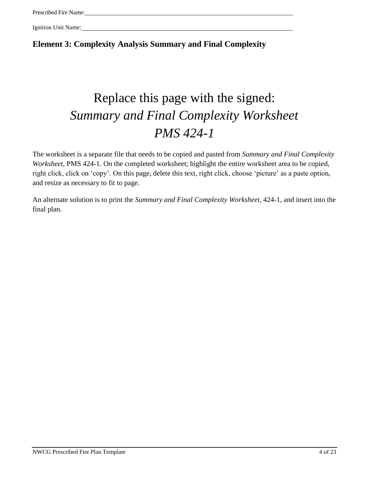**Element 3: Complexity Analysis Summary and Final Complexity**

## Replace this page with the signed: *Summary and Final Complexity Worksheet PMS 424-1*

The worksheet is a separate file that needs to be copied and pasted from *Summary and Final Complexity Worksheet*, PMS 424-1. On the completed worksheet; highlight the entire worksheet area to be copied, right click, click on 'copy'. On this page, delete this text, right click, choose 'picture' as a paste option, and resize as necessary to fit to page.

An alternate solution is to print the *Summary and Final Complexity Worksheet*, 424-1, and insert into the final plan.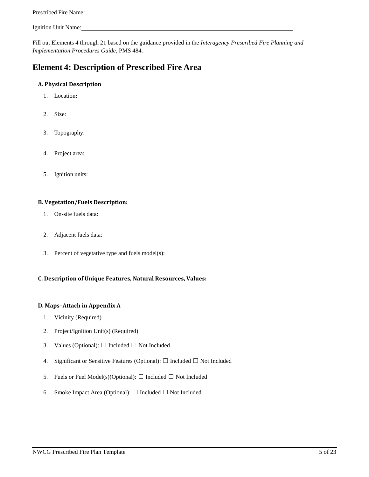Fill out Elements 4 through 21 based on the guidance provided in the *Interagency Prescribed Fire Planning and Implementation Procedures Guide*, PMS 484.

### **Element 4: Description of Prescribed Fire Area**

#### **A. Physical Description**

- 1. Location**:**
- 2. Size:
- 3. Topography:
- 4. Project area:
- 5. Ignition units:

#### **B. Vegetation/Fuels Description:**

- 1. On-site fuels data:
- 2. Adjacent fuels data:
- 3. Percent of vegetative type and fuels model(s):

### **C. Description of Unique Features, Natural Resources, Values:**

#### **D. Maps–Attach in Appendix A**

- 1. Vicinity (Required)
- 2. Project/Ignition Unit(s) (Required)
- 3. Values (Optional):  $\Box$  Included  $\Box$  Not Included
- 4. Significant or Sensitive Features (Optional):  $\Box$  Included  $\Box$  Not Included
- 5. Fuels or Fuel Model(s)(Optional):  $\Box$  Included  $\Box$  Not Included
- 6. Smoke Impact Area (Optional):  $\Box$  Included  $\Box$  Not Included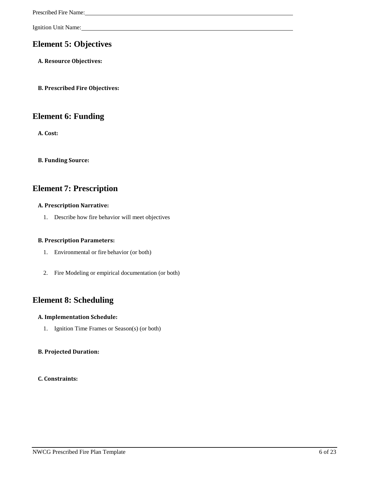### **Element 5: Objectives**

**A. Resource Objectives:**

**B. Prescribed Fire Objectives:**

### **Element 6: Funding**

**A. Cost:**

**B. Funding Source:**

### **Element 7: Prescription**

#### **A. Prescription Narrative:**

1. Describe how fire behavior will meet objectives

#### **B. Prescription Parameters:**

- 1. Environmental or fire behavior (or both)
- 2. Fire Modeling or empirical documentation (or both)

### **Element 8: Scheduling**

#### **A. Implementation Schedule:**

1. Ignition Time Frames or Season(s) (or both)

### **B. Projected Duration:**

#### **C. Constraints:**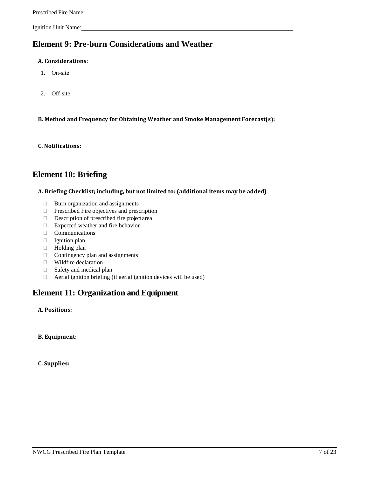### **Element 9: Pre-burn Considerations and Weather**

#### **A. Considerations:**

- 1. On-site
- 2. Off-site

**B. Method and Frequency for Obtaining Weather and Smoke Management Forecast(s):**

**C. Notifications:**

### **Element 10: Briefing**

#### **A. Briefing Checklist; including, but not limited to: (additional items may be added)**

- $\Box$  Burn organization and assignments
- $\Box$  Prescribed Fire objectives and prescription
- Description of prescribed fire project area
- Expected weather and fire behavior
- Communications
- Ignition plan
- □ Holding plan
- $\Box$  Contingency plan and assignments
- Wildfire declaration
- $\Box$  Safety and medical plan
- $\Box$  Aerial ignition briefing (if aerial ignition devices will be used)

### **Element 11: Organization and Equipment**

#### **A. Positions:**

**B. Equipment:**

**C. Supplies:**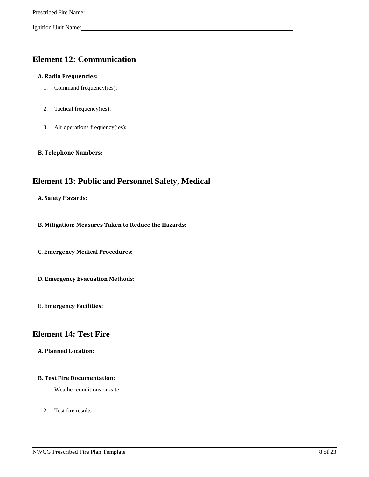### **Element 12: Communication**

### **A. Radio Frequencies:**

- 1. Command frequency(ies):
- 2. Tactical frequency(ies):
- 3. Air operations frequency(ies):

#### **B. Telephone Numbers:**

### **Element 13: Public and Personnel Safety, Medical**

**A. Safety Hazards:**

**B. Mitigation: Measures Taken to Reduce the Hazards:**

**C. Emergency Medical Procedures:**

**D. Emergency Evacuation Methods:**

**E. Emergency Facilities:**

### **Element 14: Test Fire**

**A. Planned Location:**

#### **B. Test Fire Documentation:**

- 1. Weather conditions on-site
- 2. Test fire results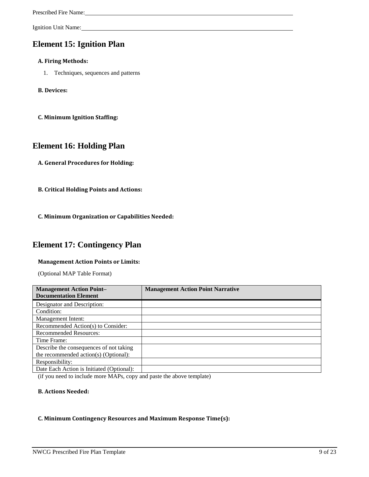### **Element 15: Ignition Plan**

#### **A. Firing Methods:**

1. Techniques, sequences and patterns

#### **B. Devices:**

**C. Minimum Ignition Staffing:**

### **Element 16: Holding Plan**

- **A. General Procedures for Holding:**
- **B. Critical Holding Points and Actions:**
- **C. Minimum Organization or Capabilities Needed:**

### **Element 17: Contingency Plan**

#### **Management Action Points or Limits:**

(Optional MAP Table Format)

| <b>Management Action Point-</b><br><b>Documentation Element</b> | <b>Management Action Point Narrative</b> |
|-----------------------------------------------------------------|------------------------------------------|
| Designator and Description:                                     |                                          |
| Condition:                                                      |                                          |
| Management Intent:                                              |                                          |
| Recommended Action(s) to Consider:                              |                                          |
| <b>Recommended Resources:</b>                                   |                                          |
| Time Frame:                                                     |                                          |
| Describe the consequences of not taking                         |                                          |
| the recommended action(s) (Optional):                           |                                          |
| Responsibility:                                                 |                                          |
| Date Each Action is Initiated (Optional):                       |                                          |

(if you need to include more MAPs, copy and paste the above template)

#### **B. Actions Needed:**

#### **C. Minimum Contingency Resources and Maximum Response Time(s):**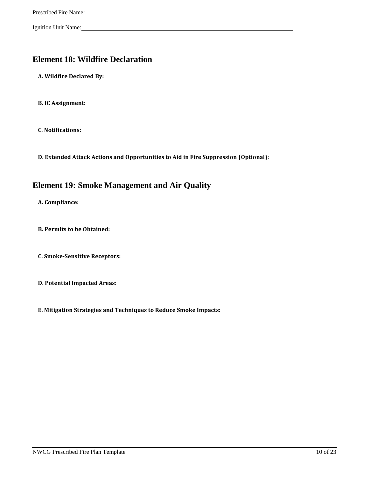### **Element 18: Wildfire Declaration**

**A. Wildfire Declared By:**

**B. IC Assignment:**

**C. Notifications:**

**D. Extended Attack Actions and Opportunities to Aid in Fire Suppression (Optional):**

### **Element 19: Smoke Management and Air Quality**

**A. Compliance:**

**B. Permits to be Obtained:**

**C. Smoke-Sensitive Receptors:**

**D. Potential Impacted Areas:**

**E. Mitigation Strategies and Techniques to Reduce Smoke Impacts:**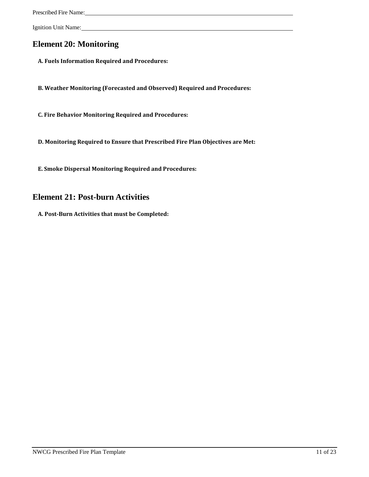### **Element 20: Monitoring**

**A. Fuels Information Required and Procedures:**

**B. Weather Monitoring (Forecasted and Observed) Required and Procedures:**

**C. Fire Behavior Monitoring Required and Procedures:**

**D. Monitoring Required to Ensure that Prescribed Fire Plan Objectives are Met:**

**E. Smoke Dispersal Monitoring Required and Procedures:**

### **Element 21: Post-burn Activities**

**A. Post-Burn Activities that must be Completed:**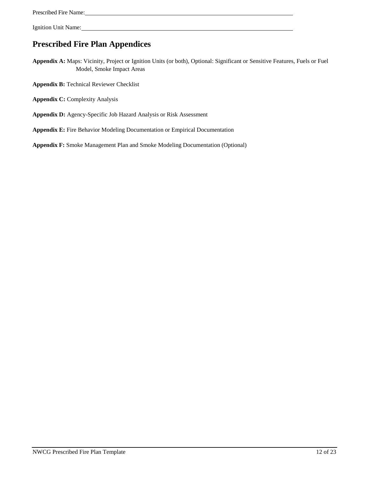### **Prescribed Fire Plan Appendices**

**Appendix A:** Maps: Vicinity, Project or Ignition Units (or both), Optional: Significant or Sensitive Features, Fuels or Fuel Model, Smoke Impact Areas

- **Appendix B:** Technical Reviewer Checklist
- **Appendix C:** Complexity Analysis
- **Appendix D:** Agency-Specific Job Hazard Analysis or Risk Assessment
- **Appendix E:** Fire Behavior Modeling Documentation or Empirical Documentation

**Appendix F:** Smoke Management Plan and Smoke Modeling Documentation (Optional)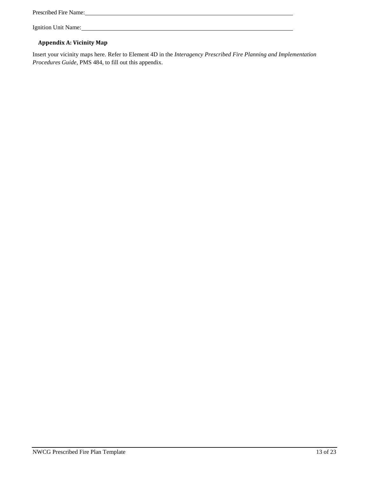| <b>Prescribed Fire Name:</b> |  |  |
|------------------------------|--|--|
|                              |  |  |

### **Appendix A: Vicinity Map**

Insert your vicinity maps here. Refer to Element 4D in the *Interagency Prescribed Fire Planning and Implementation Procedures Guide*, PMS 484, to fill out this appendix.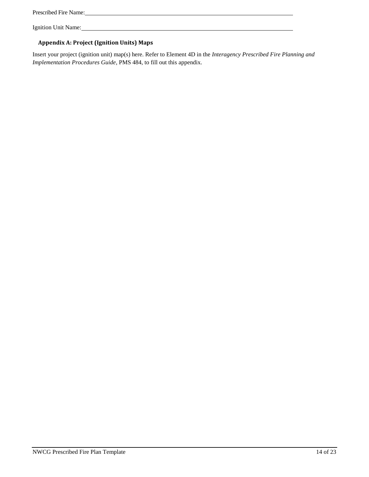| Prescribed Fire Name: |
|-----------------------|
|-----------------------|

### **Appendix A: Project (Ignition Units) Maps**

Insert your project (ignition unit) map(s) here. Refer to Element 4D in the *Interagency Prescribed Fire Planning and Implementation Procedures Guide*, PMS 484, to fill out this appendix.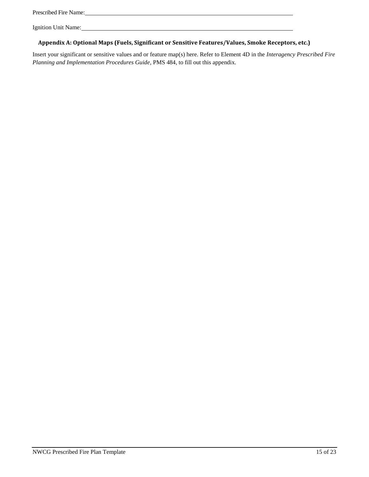### **Appendix A: Optional Maps (Fuels, Significant or Sensitive Features/Values, Smoke Receptors, etc.)**

Insert your significant or sensitive values and or feature map(s) here. Refer to Element 4D in the *Interagency Prescribed Fire Planning and Implementation Procedures Guide*, PMS 484, to fill out this appendix.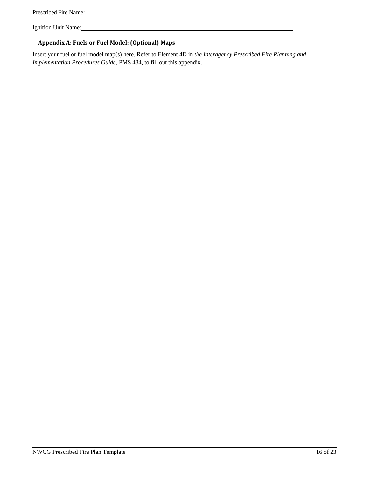| Prescribed Fire Name: |  |
|-----------------------|--|
|-----------------------|--|

### **Appendix A: Fuels or Fuel Model: (Optional) Maps**

Insert your fuel or fuel model map(s) here. Refer to Element 4D in *the Interagency Prescribed Fire Planning and Implementation Procedures Guide*, PMS 484, to fill out this appendix.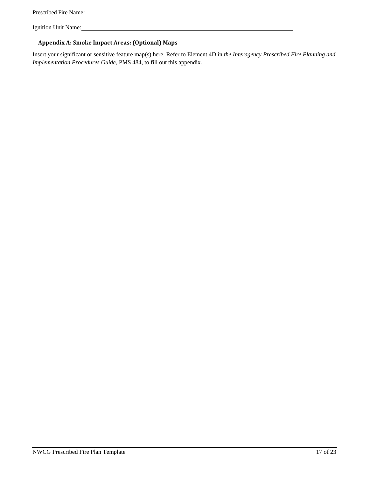| Prescribed Fire Name: |  |
|-----------------------|--|
|-----------------------|--|

### **Appendix A: Smoke Impact Areas: (Optional) Maps**

Insert your significant or sensitive feature map(s) here. Refer to Element 4D in *the Interagency Prescribed Fire Planning and Implementation Procedures Guide*, PMS 484, to fill out this appendix.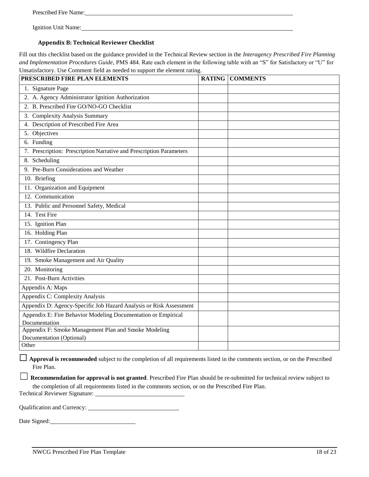#### **Appendix B: Technical Reviewer Checklist**

Fill out this checklist based on the guidance provided in the Technical Review section in the *Interagency Prescribed Fire Planning and Implementation Procedures Guide*, PMS 484. Rate each element in the following table with an "S" for Satisfactory or "U" for Unsatisfactory. Use Comment field as needed to support the element rating.

| PRESCRIBED FIRE PLAN ELEMENTS                                       | <b>RATING COMMENTS</b> |
|---------------------------------------------------------------------|------------------------|
| 1. Signature Page                                                   |                        |
| 2. A. Agency Administrator Ignition Authorization                   |                        |
| 2. B. Prescribed Fire GO/NO-GO Checklist                            |                        |
| 3. Complexity Analysis Summary                                      |                        |
| 4. Description of Prescribed Fire Area                              |                        |
| 5. Objectives                                                       |                        |
| 6. Funding                                                          |                        |
| 7. Prescription: Prescription Narrative and Prescription Parameters |                        |
| 8. Scheduling                                                       |                        |
| 9. Pre-Burn Considerations and Weather                              |                        |
| 10. Briefing                                                        |                        |
| 11. Organization and Equipment                                      |                        |
| 12. Communication                                                   |                        |
| 13. Public and Personnel Safety, Medical                            |                        |
| 14. Test Fire                                                       |                        |
| 15. Ignition Plan                                                   |                        |
| 16. Holding Plan                                                    |                        |
| 17. Contingency Plan                                                |                        |
| 18. Wildfire Declaration                                            |                        |
| 19. Smoke Management and Air Quality                                |                        |
| 20. Monitoring                                                      |                        |
| 21. Post-Burn Activities                                            |                        |
| Appendix A: Maps                                                    |                        |
| Appendix C: Complexity Analysis                                     |                        |
| Appendix D: Agency-Specific Job Hazard Analysis or Risk Assessment  |                        |
| Appendix E: Fire Behavior Modeling Documentation or Empirical       |                        |
| Documentation                                                       |                        |
| Appendix F: Smoke Management Plan and Smoke Modeling                |                        |
| Documentation (Optional)<br>Other                                   |                        |
|                                                                     |                        |

□ **Approval is recommended** subject to the completion of all requirements listed in the comments section, or on the Prescribed Fire Plan.

**□ Recommendation for approval is not granted**. Prescribed Fire Plan should be re-submitted for technical review subject to the completion of all requirements listed in the comments section, or on the Prescribed Fire Plan.

Technical Reviewer Signature:

Qualification and Currency:

Date Signed: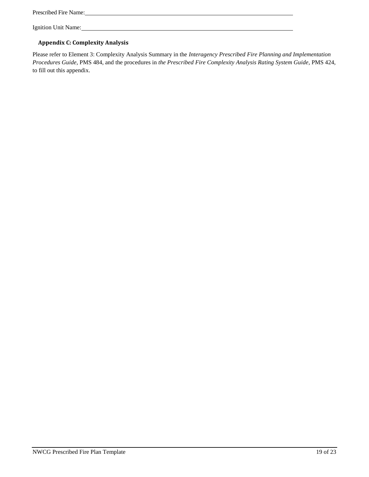Prescribed Fire Name:

Ignition Unit Name:

#### **Appendix C: Complexity Analysis**

Please refer to Element 3: Complexity Analysis Summary in the *Interagency Prescribed Fire Planning and Implementation Procedures Guide*, PMS 484, and the procedures in *the Prescribed Fire Complexity Analysis Rating System Guide*, PMS 424, to fill out this appendix.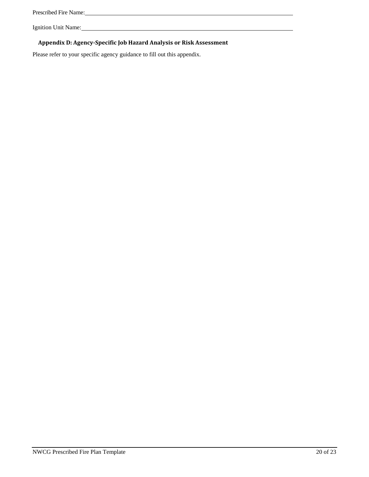| Prescribed Fire Name: |
|-----------------------|
|-----------------------|

### **Appendix D: Agency-Specific Job Hazard Analysis or Risk Assessment**

<u> 1980 - Johann Barn, mars ann an t-Amhain Aonaich an t-Aonaich an t-Aonaich ann an t-Aonaich ann an t-Aonaich</u>

Please refer to your specific agency guidance to fill out this appendix.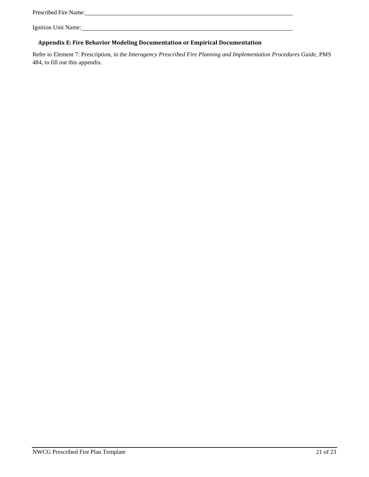### **Appendix E: Fire Behavior Modeling Documentation or Empirical Documentation**

Refer to Element 7: Prescription, in the *Interagency Prescribed Fire Planning and Implementation Procedures Guide*, PMS 484, to fill out this appendix.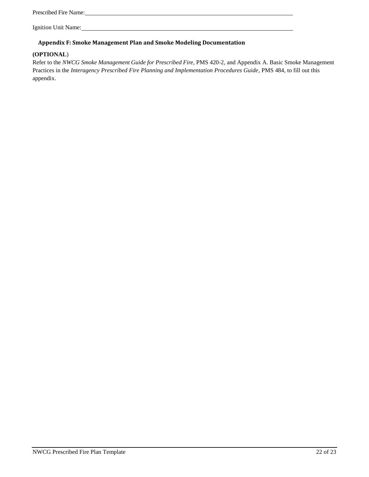#### **Appendix F: Smoke Management Plan and Smoke Modeling Documentation**

#### **(OPTIONAL**)

Refer to the *NWCG Smoke Management Guide for Prescribed Fire*, PMS 420-2, and Appendix A. Basic Smoke Management Practices in the *Interagency Prescribed Fire Planning and Implementation Procedures Guide*, PMS 484, to fill out this appendix.